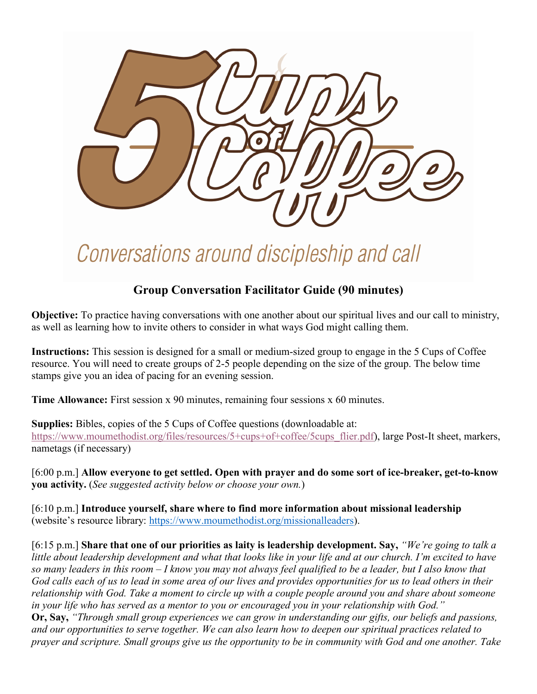

## Conversations around discipleship and call

## **Group Conversation Facilitator Guide (90 minutes)**

**Objective:** To practice having conversations with one another about our spiritual lives and our call to ministry, as well as learning how to invite others to consider in what ways God might calling them.

**Instructions:** This session is designed for a small or medium-sized group to engage in the 5 Cups of Coffee resource. You will need to create groups of 2-5 people depending on the size of the group. The below time stamps give you an idea of pacing for an evening session.

**Time Allowance:** First session x 90 minutes, remaining four sessions x 60 minutes.

**Supplies:** Bibles, copies of the 5 Cups of Coffee questions (downloadable at: [https://www.moumethodist.org/files/resources/5+cups+of+coffee/5cups\\_flier.pdf\)](https://www.moumethodist.org/files/resources/5+cups+of+coffee/5cups_flier.pdf), large Post-It sheet, markers, nametags (if necessary)

[6:00 p.m.] **Allow everyone to get settled. Open with prayer and do some sort of ice-breaker, get-to-know you activity.** (*See suggested activity below or choose your own.*)

[6:10 p.m.] **Introduce yourself, share where to find more information about missional leadership**  (website's resource library: [https://www.moumethodist.org/missionalleaders\)](https://www.moumethodist.org/missionalleaders).

[6:15 p.m.] **Share that one of our priorities as laity is leadership development. Say,** *"We're going to talk a little about leadership development and what that looks like in your life and at our church. I'm excited to have so many leaders in this room – I know you may not always feel qualified to be a leader, but I also know that God calls each of us to lead in some area of our lives and provides opportunities for us to lead others in their relationship with God. Take a moment to circle up with a couple people around you and share about someone in your life who has served as a mentor to you or encouraged you in your relationship with God."* **Or, Say,** *"Through small group experiences we can grow in understanding our gifts, our beliefs and passions, and our opportunities to serve together. We can also learn how to deepen our spiritual practices related to prayer and scripture. Small groups give us the opportunity to be in community with God and one another. Take*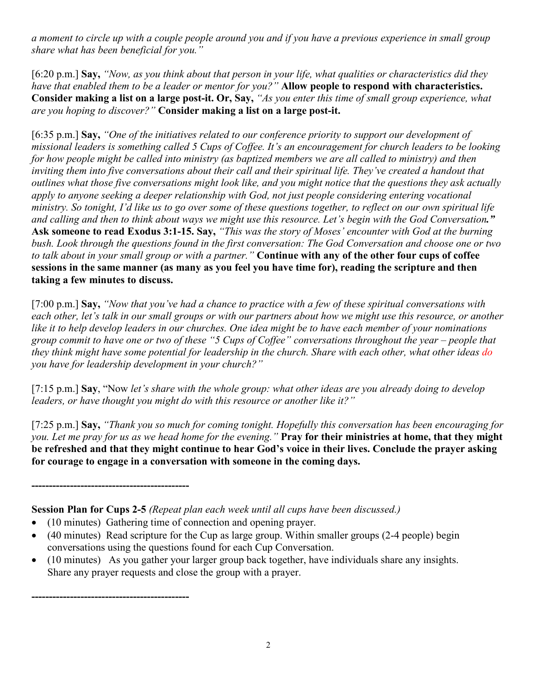*a moment to circle up with a couple people around you and if you have a previous experience in small group share what has been beneficial for you."*

[6:20 p.m.] **Say,** *"Now, as you think about that person in your life, what qualities or characteristics did they have that enabled them to be a leader or mentor for you?"* **Allow people to respond with characteristics. Consider making a list on a large post-it. Or, Say,** *"As you enter this time of small group experience, what are you hoping to discover?"* **Consider making a list on a large post-it.**

[6:35 p.m.] **Say,** *"One of the initiatives related to our conference priority to support our development of missional leaders is something called 5 Cups of Coffee. It's an encouragement for church leaders to be looking for how people might be called into ministry (as baptized members we are all called to ministry) and then inviting them into five conversations about their call and their spiritual life. They've created a handout that outlines what those five conversations might look like, and you might notice that the questions they ask actually apply to anyone seeking a deeper relationship with God, not just people considering entering vocational ministry. So tonight, I'd like us to go over some of these questions together, to reflect on our own spiritual life and calling and then to think about ways we might use this resource. Let's begin with the God Conversation."*  **Ask someone to read Exodus 3:1-15. Say,** *"This was the story of Moses' encounter with God at the burning bush. Look through the questions found in the first conversation: The God Conversation and choose one or two to talk about in your small group or with a partner."* **Continue with any of the other four cups of coffee sessions in the same manner (as many as you feel you have time for), reading the scripture and then taking a few minutes to discuss.**

[7:00 p.m.] **Say,** *"Now that you've had a chance to practice with a few of these spiritual conversations with each other, let's talk in our small groups or with our partners about how we might use this resource, or another like it to help develop leaders in our churches. One idea might be to have each member of your nominations group commit to have one or two of these "5 Cups of Coffee" conversations throughout the year – people that they think might have some potential for leadership in the church. Share with each other, what other ideas do you have for leadership development in your church?"*

[7:15 p.m.] **Say**, "Now *let's share with the whole group: what other ideas are you already doing to develop leaders, or have thought you might do with this resource or another like it?"*

[7:25 p.m.] **Say,** *"Thank you so much for coming tonight. Hopefully this conversation has been encouraging for you. Let me pray for us as we head home for the evening."* **Pray for their ministries at home, that they might be refreshed and that they might continue to hear God's voice in their lives. Conclude the prayer asking for courage to engage in a conversation with someone in the coming days.**

**Session Plan for Cups 2-5** *(Repeat plan each week until all cups have been discussed.)*

• (10 minutes) Gathering time of connection and opening prayer.

**---------------------------------------------**

**---------------------------------------------**

- (40 minutes) Read scripture for the Cup as large group. Within smaller groups (2-4 people) begin conversations using the questions found for each Cup Conversation.
- (10 minutes) As you gather your larger group back together, have individuals share any insights. Share any prayer requests and close the group with a prayer.